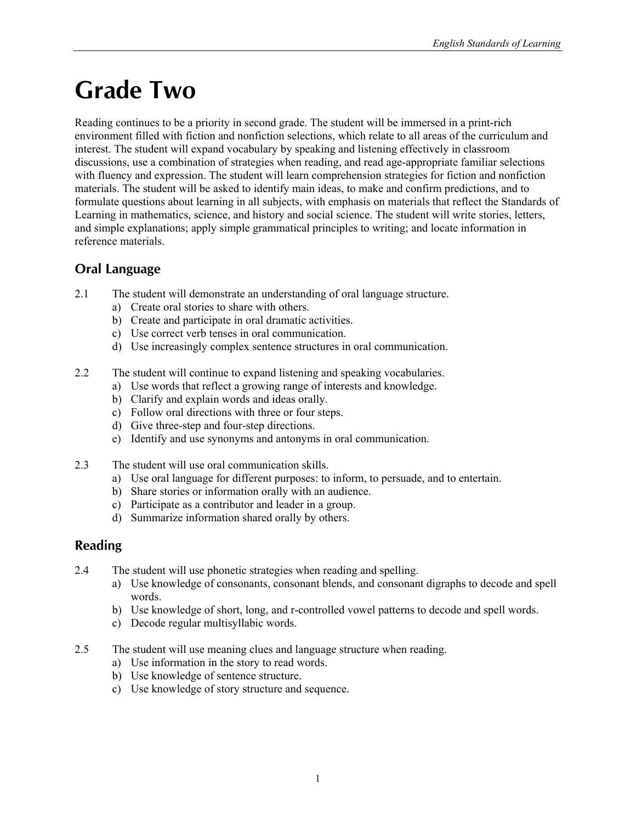## **Grade Two**

Reading continues to be a priority in second grade. The student will be immersed in a print-rich environment filled with fiction and nonfiction selections, which relate to all areas of the curriculum and interest. The student will expand vocabulary by speaking and listening effectively in classroom discussions, use a combination of strategies when reading, and read age-appropriate familiar selections with fluency and expression. The student will learn comprehension strategies for fiction and nonfiction materials. The student will be asked to identify main ideas, to make and confirm predictions, and to formulate questions about learning in all subjects, with emphasis on materials that reflect the Standards of Learning in mathematics, science, and history and social science. The student will write stories, letters, and simple explanations; apply simple grammatical principles to writing; and locate information in reference materials.

## **Oral Language**

- 2.1 The student will demonstrate an understanding of oral language structure.
	- a) Create oral stories to share with others.
	- b) Create and participate in oral dramatic activities.
	- c) Use correct verb tenses in oral communication.
	- d) Use increasingly complex sentence structures in oral communication.
- 2.2 The student will continue to expand listening and speaking vocabularies.
	- a) Use words that reflect a growing range of interests and knowledge.
	- b) Clarify and explain words and ideas orally.
	- c) Follow oral directions with three or four steps.
	- d) Give three-step and four-step directions.
	- e) Identify and use synonyms and antonyms in oral communication.
- 2.3 The student will use oral communication skills.
	- a) Use oral language for different purposes: to inform, to persuade, and to entertain.
	- b) Share stories or information orally with an audience.
	- c) Participate as a contributor and leader in a group.
	- d) Summarize information shared orally by others.

## **Reading**

- 2.4 The student will use phonetic strategies when reading and spelling.
	- a) Use knowledge of consonants, consonant blends, and consonant digraphs to decode and spell words.
	- b) Use knowledge of short, long, and r-controlled vowel patterns to decode and spell words.
	- c) Decode regular multisyllabic words.
- 2.5 The student will use meaning clues and language structure when reading.
	- a) Use information in the story to read words.
	- b) Use knowledge of sentence structure.
	- c) Use knowledge of story structure and sequence.